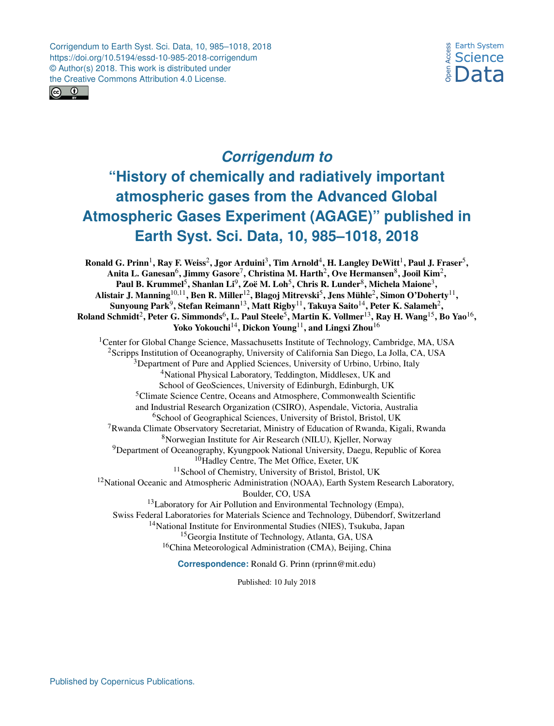Corrigendum to Earth Syst. Sci. Data, 10, 985–1018, 2018 https://doi.org/10.5194/essd-10-985-2018-corrigendum © Author(s) 2018. This work is distributed under the Creative Commons Attribution 4.0 License.





*Corrigendum to* **"History of chemically and radiatively important atmospheric gases from the Advanced Global Atmospheric Gases Experiment (AGAGE)" published in Earth Syst. Sci. Data, 10, 985–1018, 2018**

Ronald G. Prinn<sup>1</sup>, Ray F. Weiss<sup>2</sup>, Jgor Arduini<sup>3</sup>, Tim Arnold<sup>4</sup>, H. Langley DeWitt<sup>1</sup>, Paul J. Fraser<sup>5</sup>, Anita L. Ganesan $^6$ , Jimmy Gasore $^7$ , Christina M. Harth $^2$ , Ove Hermansen $^8$ , Jooil Kim $^2$ , Paul B. Krummel<sup>5</sup>, Shanlan Li<sup>9</sup>, Zoë M. Loh<sup>5</sup>, Chris R. Lunder<sup>8</sup>, Michela Maione<sup>3</sup>, Alistair J. Manning $^{10,11}$ , Ben R. Miller $^{12}$ , Blagoj Mitrevski $^5$ , Jens Mühle $^2$ , Simon O'Doherty $^{11},$ Sunyoung Park $^9$ , Stefan Reimann $^{13}$ , Matt Rigby $^{11}$ , Takuya Saito $^{14}$ , Peter K. Salameh $^2$ , Roland Schmidt $^2$ , Peter G. Simmonds $^6$ , L. Paul Steele $^5$ , Martin K. Vollmer $^{13}$ , Ray H. Wang $^{15}$ , Bo Yao $^{16}$ , Yoko Yokouchi<sup>14</sup>, Dickon Young<sup>11</sup>, and Lingxi Zhou<sup>16</sup> <sup>1</sup>Center for Global Change Science, Massachusetts Institute of Technology, Cambridge, MA, USA <sup>2</sup>Scripps Institution of Oceanography, University of California San Diego, La Jolla, CA, USA <sup>3</sup>Department of Pure and Applied Sciences, University of Urbino, Urbino, Italy <sup>4</sup>National Physical Laboratory, Teddington, Middlesex, UK and School of GeoSciences, University of Edinburgh, Edinburgh, UK <sup>5</sup>Climate Science Centre, Oceans and Atmosphere, Commonwealth Scientific and Industrial Research Organization (CSIRO), Aspendale, Victoria, Australia <sup>6</sup>School of Geographical Sciences, University of Bristol, Bristol, UK <sup>7</sup>Rwanda Climate Observatory Secretariat, Ministry of Education of Rwanda, Kigali, Rwanda <sup>8</sup>Norwegian Institute for Air Research (NILU), Kjeller, Norway <sup>9</sup>Department of Oceanography, Kyungpook National University, Daegu, Republic of Korea <sup>10</sup>Hadley Centre, The Met Office, Exeter, UK <sup>11</sup>School of Chemistry, University of Bristol, Bristol, UK  $12$ National Oceanic and Atmospheric Administration (NOAA), Earth System Research Laboratory, Boulder, CO, USA <sup>13</sup>Laboratory for Air Pollution and Environmental Technology (Empa), Swiss Federal Laboratories for Materials Science and Technology, Dübendorf, Switzerland <sup>14</sup>National Institute for Environmental Studies (NIES), Tsukuba, Japan <sup>15</sup>Georgia Institute of Technology, Atlanta, GA, USA <sup>16</sup>China Meteorological Administration (CMA), Beijing, China **Correspondence:** Ronald G. Prinn (rprinn@mit.edu)

Published: 10 July 2018